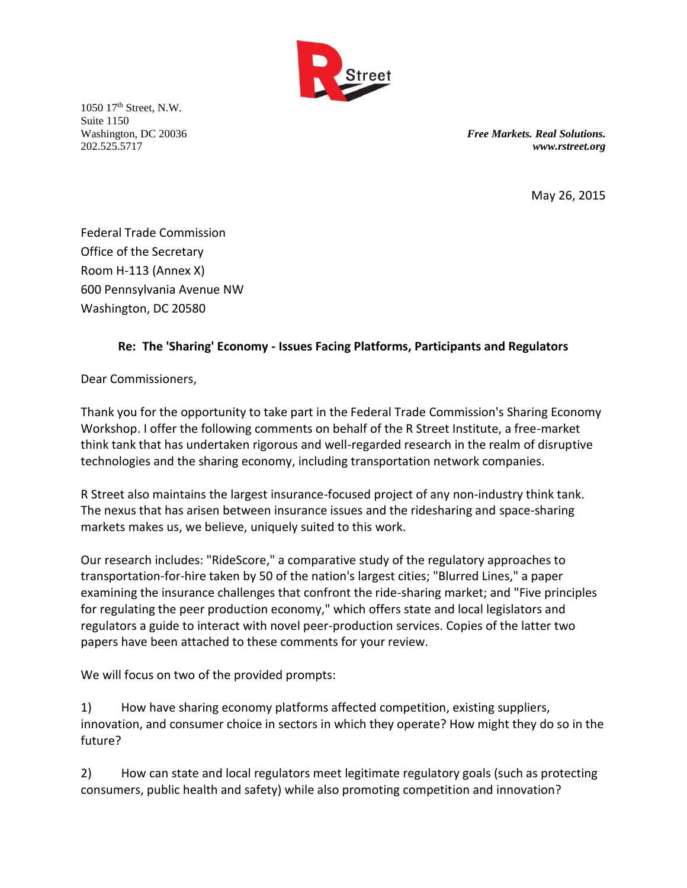

1050 17th Street, N.W. Suite 1150

Washington, DC 20036 *Free Markets. Real Solutions.* 202.525.5717 *www.rstreet.org*

May 26, 2015

Federal Trade Commission Office of the Secretary Room H-113 (Annex X) 600 Pennsylvania Avenue NW Washington, DC 20580

## **Re: The 'Sharing' Economy - Issues Facing Platforms, Participants and Regulators**

Dear Commissioners,

Thank you for the opportunity to take part in the Federal Trade Commission's Sharing Economy Workshop. I offer the following comments on behalf of the R Street Institute, a free-market think tank that has undertaken rigorous and well-regarded research in the realm of disruptive technologies and the sharing economy, including transportation network companies.

R Street also maintains the largest insurance-focused project of any non-industry think tank. The nexus that has arisen between insurance issues and the ridesharing and space-sharing markets makes us, we believe, uniquely suited to this work.

Our research includes: "RideScore," a comparative study of the regulatory approaches to transportation-for-hire taken by 50 of the nation's largest cities; "Blurred Lines," a paper examining the insurance challenges that confront the ride-sharing market; and "Five principles for regulating the peer production economy," which offers state and local legislators and regulators a guide to interact with novel peer-production services. Copies of the latter two papers have been attached to these comments for your review.

We will focus on two of the provided prompts:

1) How have sharing economy platforms affected competition, existing suppliers, innovation, and consumer choice in sectors in which they operate? How might they do so in the future?

2) How can state and local regulators meet legitimate regulatory goals (such as protecting consumers, public health and safety) while also promoting competition and innovation?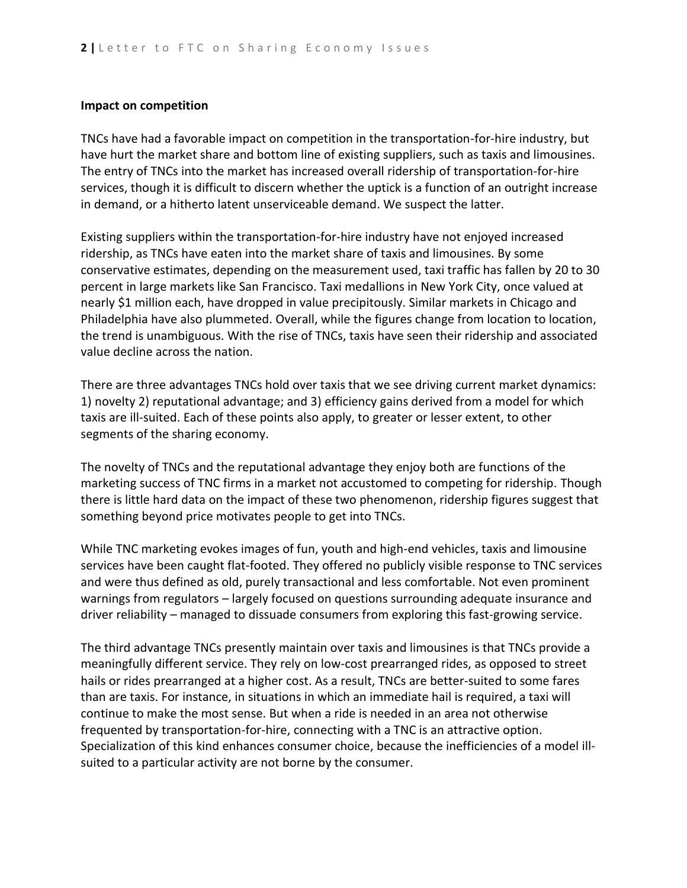## **Impact on competition**

TNCs have had a favorable impact on competition in the transportation-for-hire industry, but have hurt the market share and bottom line of existing suppliers, such as taxis and limousines. The entry of TNCs into the market has increased overall ridership of transportation-for-hire services, though it is difficult to discern whether the uptick is a function of an outright increase in demand, or a hitherto latent unserviceable demand. We suspect the latter.

Existing suppliers within the transportation-for-hire industry have not enjoyed increased ridership, as TNCs have eaten into the market share of taxis and limousines. By some conservative estimates, depending on the measurement used, taxi traffic has fallen by 20 to 30 percent in large markets like San Francisco. Taxi medallions in New York City, once valued at nearly \$1 million each, have dropped in value precipitously. Similar markets in Chicago and Philadelphia have also plummeted. Overall, while the figures change from location to location, the trend is unambiguous. With the rise of TNCs, taxis have seen their ridership and associated value decline across the nation.

There are three advantages TNCs hold over taxis that we see driving current market dynamics: 1) novelty 2) reputational advantage; and 3) efficiency gains derived from a model for which taxis are ill-suited. Each of these points also apply, to greater or lesser extent, to other segments of the sharing economy.

The novelty of TNCs and the reputational advantage they enjoy both are functions of the marketing success of TNC firms in a market not accustomed to competing for ridership. Though there is little hard data on the impact of these two phenomenon, ridership figures suggest that something beyond price motivates people to get into TNCs.

While TNC marketing evokes images of fun, youth and high-end vehicles, taxis and limousine services have been caught flat-footed. They offered no publicly visible response to TNC services and were thus defined as old, purely transactional and less comfortable. Not even prominent warnings from regulators – largely focused on questions surrounding adequate insurance and driver reliability – managed to dissuade consumers from exploring this fast-growing service.

The third advantage TNCs presently maintain over taxis and limousines is that TNCs provide a meaningfully different service. They rely on low-cost prearranged rides, as opposed to street hails or rides prearranged at a higher cost. As a result, TNCs are better-suited to some fares than are taxis. For instance, in situations in which an immediate hail is required, a taxi will continue to make the most sense. But when a ride is needed in an area not otherwise frequented by transportation-for-hire, connecting with a TNC is an attractive option. Specialization of this kind enhances consumer choice, because the inefficiencies of a model illsuited to a particular activity are not borne by the consumer.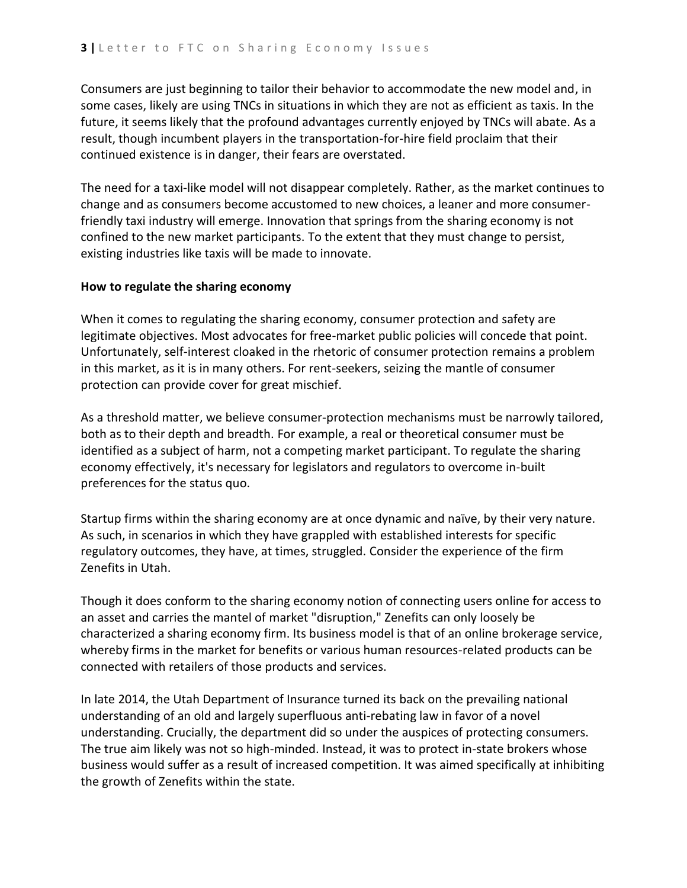Consumers are just beginning to tailor their behavior to accommodate the new model and, in some cases, likely are using TNCs in situations in which they are not as efficient as taxis. In the future, it seems likely that the profound advantages currently enjoyed by TNCs will abate. As a result, though incumbent players in the transportation-for-hire field proclaim that their continued existence is in danger, their fears are overstated.

The need for a taxi-like model will not disappear completely. Rather, as the market continues to change and as consumers become accustomed to new choices, a leaner and more consumerfriendly taxi industry will emerge. Innovation that springs from the sharing economy is not confined to the new market participants. To the extent that they must change to persist, existing industries like taxis will be made to innovate.

## **How to regulate the sharing economy**

When it comes to regulating the sharing economy, consumer protection and safety are legitimate objectives. Most advocates for free-market public policies will concede that point. Unfortunately, self-interest cloaked in the rhetoric of consumer protection remains a problem in this market, as it is in many others. For rent-seekers, seizing the mantle of consumer protection can provide cover for great mischief.

As a threshold matter, we believe consumer-protection mechanisms must be narrowly tailored, both as to their depth and breadth. For example, a real or theoretical consumer must be identified as a subject of harm, not a competing market participant. To regulate the sharing economy effectively, it's necessary for legislators and regulators to overcome in-built preferences for the status quo.

Startup firms within the sharing economy are at once dynamic and naïve, by their very nature. As such, in scenarios in which they have grappled with established interests for specific regulatory outcomes, they have, at times, struggled. Consider the experience of the firm Zenefits in Utah.

Though it does conform to the sharing economy notion of connecting users online for access to an asset and carries the mantel of market "disruption," Zenefits can only loosely be characterized a sharing economy firm. Its business model is that of an online brokerage service, whereby firms in the market for benefits or various human resources-related products can be connected with retailers of those products and services.

In late 2014, the Utah Department of Insurance turned its back on the prevailing national understanding of an old and largely superfluous anti-rebating law in favor of a novel understanding. Crucially, the department did so under the auspices of protecting consumers. The true aim likely was not so high-minded. Instead, it was to protect in-state brokers whose business would suffer as a result of increased competition. It was aimed specifically at inhibiting the growth of Zenefits within the state.